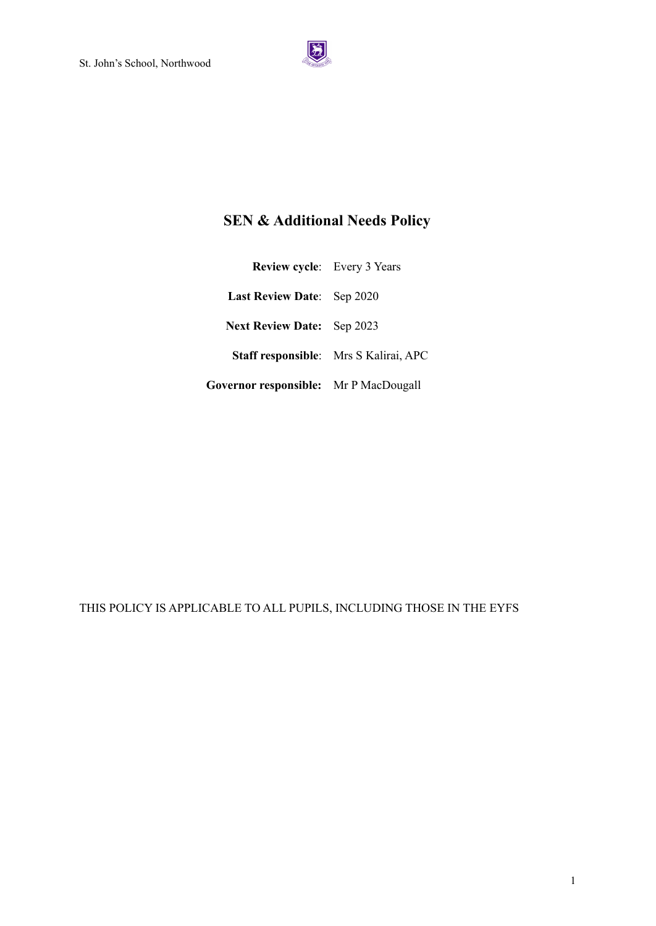

# **SEN & Additional Needs Policy**

| <b>Review cycle:</b> Every 3 Years    |                                       |
|---------------------------------------|---------------------------------------|
| <b>Last Review Date:</b> Sep 2020     |                                       |
| <b>Next Review Date:</b> Sep 2023     |                                       |
|                                       | Staff responsible: Mrs S Kalirai, APC |
| Governor responsible: Mr P MacDougall |                                       |

THIS POLICY IS APPLICABLE TO ALL PUPILS, INCLUDING THOSE IN THE EYFS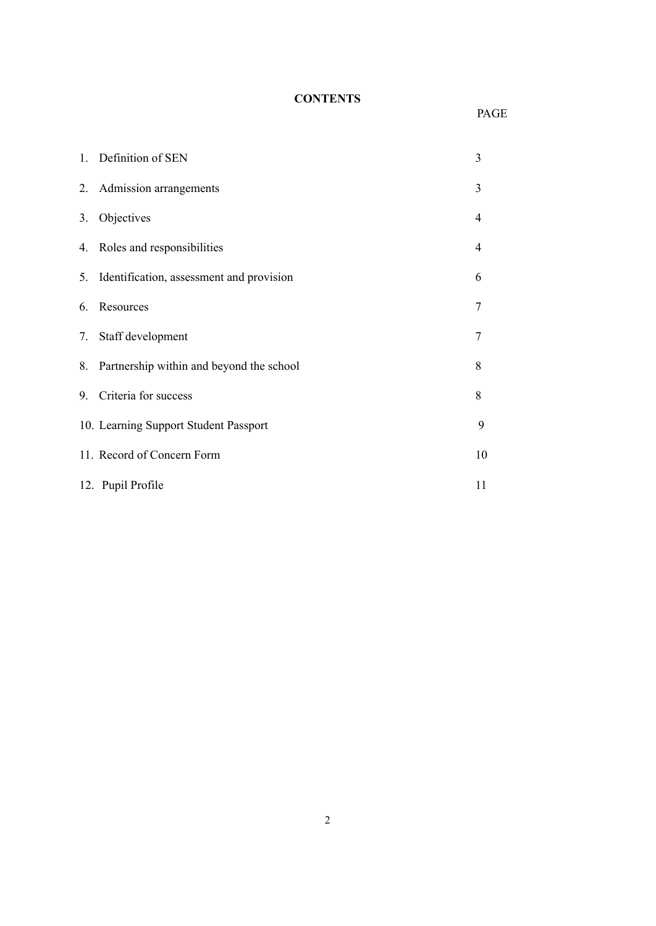# **CONTENTS**

# PAGE

|    | 1. Definition of SEN                        | 3  |
|----|---------------------------------------------|----|
| 2. | Admission arrangements                      | 3  |
| 3. | Objectives                                  | 4  |
|    | 4. Roles and responsibilities               | 4  |
|    | 5. Identification, assessment and provision | 6  |
| 6. | Resources                                   | 7  |
| 7. | Staff development                           | 7  |
| 8. | Partnership within and beyond the school    | 8  |
| 9. | Criteria for success                        | 8  |
|    | 10. Learning Support Student Passport       | 9  |
|    | 11. Record of Concern Form                  | 10 |
|    | 12. Pupil Profile                           | 11 |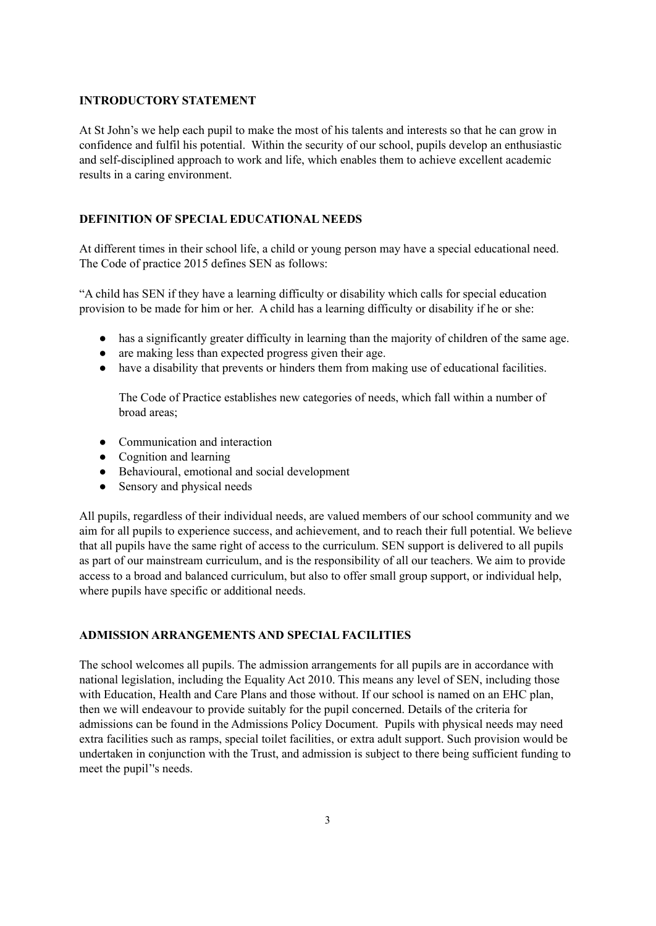#### **INTRODUCTORY STATEMENT**

At St John's we help each pupil to make the most of his talents and interests so that he can grow in confidence and fulfil his potential. Within the security of our school, pupils develop an enthusiastic and self-disciplined approach to work and life, which enables them to achieve excellent academic results in a caring environment.

#### **DEFINITION OF SPECIAL EDUCATIONAL NEEDS**

At different times in their school life, a child or young person may have a special educational need. The Code of practice 2015 defines SEN as follows:

"A child has SEN if they have a learning difficulty or disability which calls for special education provision to be made for him or her. A child has a learning difficulty or disability if he or she:

- has a significantly greater difficulty in learning than the majority of children of the same age.
- are making less than expected progress given their age.
- have a disability that prevents or hinders them from making use of educational facilities.

The Code of Practice establishes new categories of needs, which fall within a number of broad areas;

- Communication and interaction
- Cognition and learning
- Behavioural, emotional and social development
- Sensory and physical needs

All pupils, regardless of their individual needs, are valued members of our school community and we aim for all pupils to experience success, and achievement, and to reach their full potential. We believe that all pupils have the same right of access to the curriculum. SEN support is delivered to all pupils as part of our mainstream curriculum, and is the responsibility of all our teachers. We aim to provide access to a broad and balanced curriculum, but also to offer small group support, or individual help, where pupils have specific or additional needs.

### **ADMISSION ARRANGEMENTS AND SPECIAL FACILITIES**

The school welcomes all pupils. The admission arrangements for all pupils are in accordance with national legislation, including the Equality Act 2010. This means any level of SEN, including those with Education, Health and Care Plans and those without. If our school is named on an EHC plan, then we will endeavour to provide suitably for the pupil concerned. Details of the criteria for admissions can be found in the Admissions Policy Document. Pupils with physical needs may need extra facilities such as ramps, special toilet facilities, or extra adult support. Such provision would be undertaken in conjunction with the Trust, and admission is subject to there being sufficient funding to meet the pupil''s needs.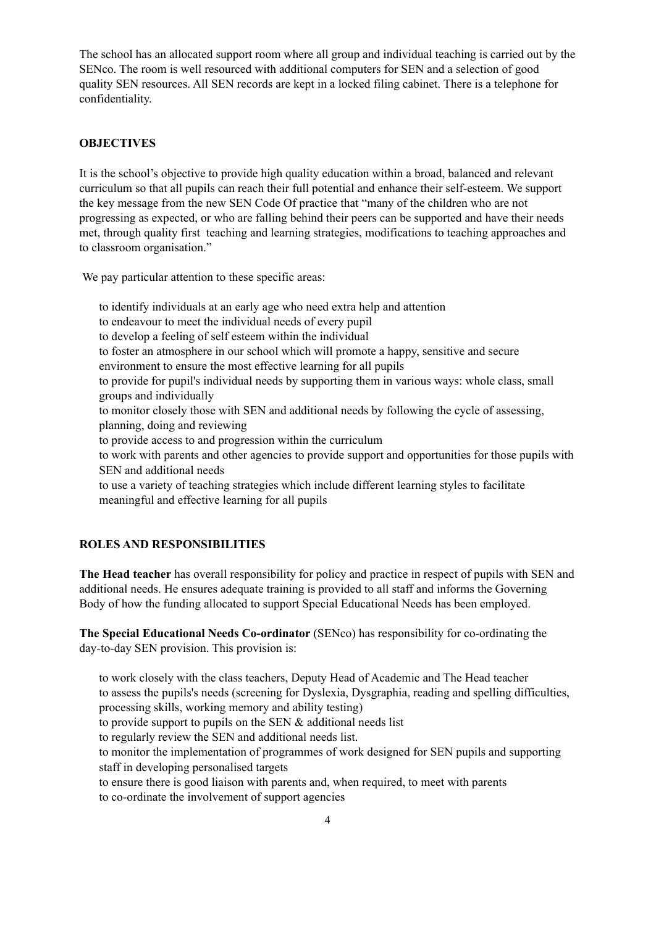The school has an allocated support room where all group and individual teaching is carried out by the SENco. The room is well resourced with additional computers for SEN and a selection of good quality SEN resources. All SEN records are kept in a locked filing cabinet. There is a telephone for confidentiality.

#### **OBJECTIVES**

It is the school's objective to provide high quality education within a broad, balanced and relevant curriculum so that all pupils can reach their full potential and enhance their self-esteem. We support the key message from the new SEN Code Of practice that "many of the children who are not progressing as expected, or who are falling behind their peers can be supported and have their needs met, through quality first teaching and learning strategies, modifications to teaching approaches and to classroom organisation."

We pay particular attention to these specific areas:

to identify individuals at an early age who need extra help and attention to endeavour to meet the individual needs of every pupil to develop a feeling of self esteem within the individual to foster an atmosphere in our school which will promote a happy, sensitive and secure environment to ensure the most effective learning for all pupils to provide for pupil's individual needs by supporting them in various ways: whole class, small groups and individually to monitor closely those with SEN and additional needs by following the cycle of assessing, planning, doing and reviewing to provide access to and progression within the curriculum to work with parents and other agencies to provide support and opportunities for those pupils with SEN and additional needs to use a variety of teaching strategies which include different learning styles to facilitate meaningful and effective learning for all pupils

# **ROLES AND RESPONSIBILITIES**

**The Head teacher** has overall responsibility for policy and practice in respect of pupils with SEN and additional needs. He ensures adequate training is provided to all staff and informs the Governing Body of how the funding allocated to support Special Educational Needs has been employed.

**The Special Educational Needs Co-ordinator** (SENco) has responsibility for co-ordinating the day-to-day SEN provision. This provision is:

to work closely with the class teachers, Deputy Head of Academic and The Head teacher to assess the pupils's needs (screening for Dyslexia, Dysgraphia, reading and spelling difficulties, processing skills, working memory and ability testing)

to provide support to pupils on the SEN & additional needs list

to regularly review the SEN and additional needs list.

to monitor the implementation of programmes of work designed for SEN pupils and supporting staff in developing personalised targets

to ensure there is good liaison with parents and, when required, to meet with parents to co-ordinate the involvement of support agencies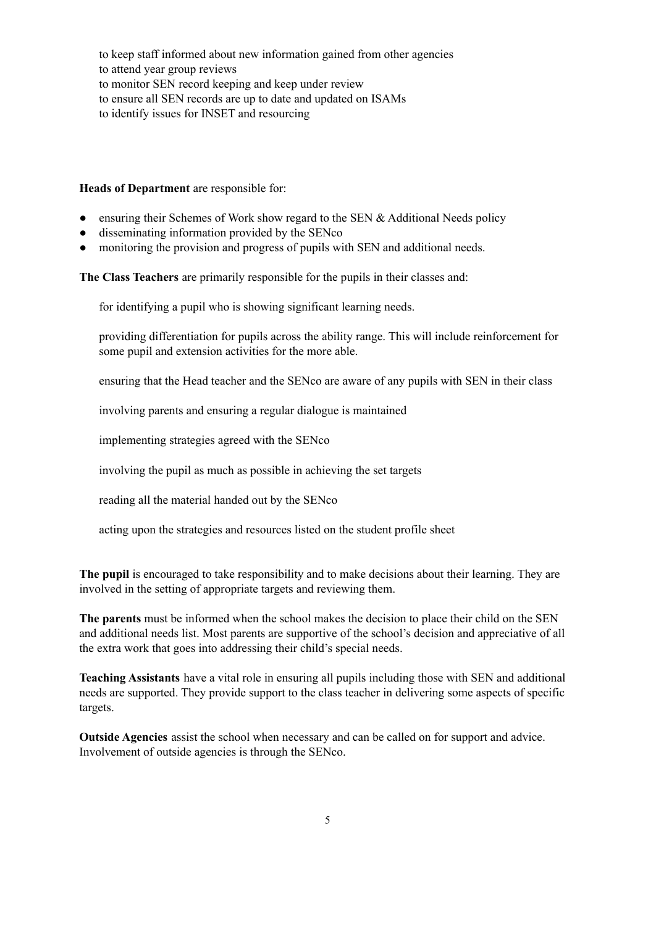to keep staff informed about new information gained from other agencies to attend year group reviews to monitor SEN record keeping and keep under review to ensure all SEN records are up to date and updated on ISAMs to identify issues for INSET and resourcing

**Heads of Department** are responsible for:

- ensuring their Schemes of Work show regard to the SEN & Additional Needs policy
- disseminating information provided by the SENco
- monitoring the provision and progress of pupils with SEN and additional needs.

**The Class Teachers** are primarily responsible for the pupils in their classes and:

for identifying a pupil who is showing significant learning needs.

providing differentiation for pupils across the ability range. This will include reinforcement for some pupil and extension activities for the more able.

ensuring that the Head teacher and the SENco are aware of any pupils with SEN in their class

involving parents and ensuring a regular dialogue is maintained

implementing strategies agreed with the SENco

involving the pupil as much as possible in achieving the set targets

reading all the material handed out by the SENco

acting upon the strategies and resources listed on the student profile sheet

**The pupil** is encouraged to take responsibility and to make decisions about their learning. They are involved in the setting of appropriate targets and reviewing them.

**The parents** must be informed when the school makes the decision to place their child on the SEN and additional needs list. Most parents are supportive of the school's decision and appreciative of all the extra work that goes into addressing their child's special needs.

**Teaching Assistants** have a vital role in ensuring all pupils including those with SEN and additional needs are supported. They provide support to the class teacher in delivering some aspects of specific targets.

**Outside Agencies** assist the school when necessary and can be called on for support and advice. Involvement of outside agencies is through the SENco.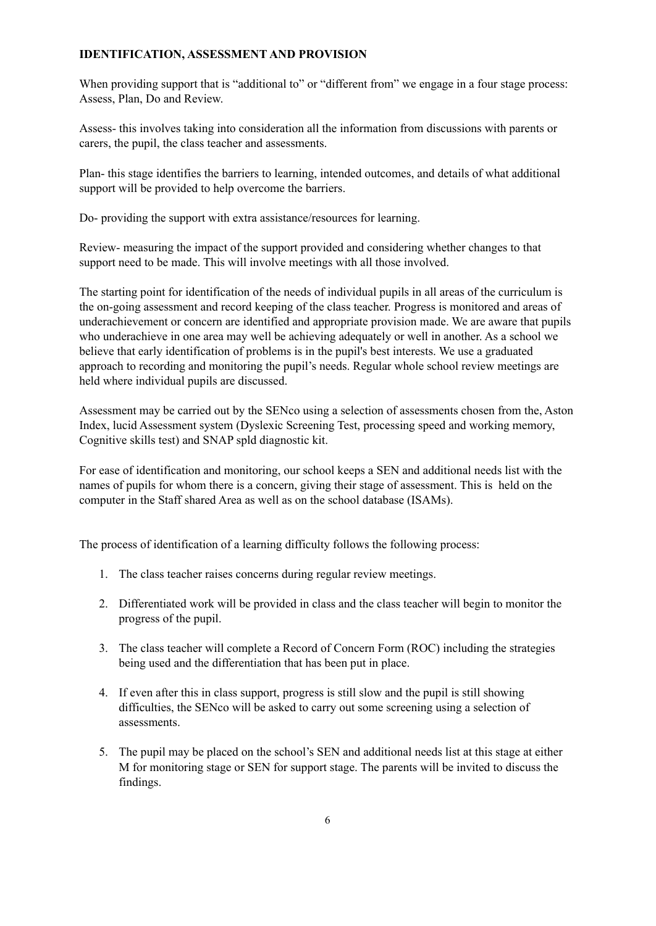### **IDENTIFICATION, ASSESSMENT AND PROVISION**

When providing support that is "additional to" or "different from" we engage in a four stage process: Assess, Plan, Do and Review.

Assess- this involves taking into consideration all the information from discussions with parents or carers, the pupil, the class teacher and assessments.

Plan- this stage identifies the barriers to learning, intended outcomes, and details of what additional support will be provided to help overcome the barriers.

Do- providing the support with extra assistance/resources for learning.

Review- measuring the impact of the support provided and considering whether changes to that support need to be made. This will involve meetings with all those involved.

The starting point for identification of the needs of individual pupils in all areas of the curriculum is the on-going assessment and record keeping of the class teacher. Progress is monitored and areas of underachievement or concern are identified and appropriate provision made. We are aware that pupils who underachieve in one area may well be achieving adequately or well in another. As a school we believe that early identification of problems is in the pupil's best interests. We use a graduated approach to recording and monitoring the pupil's needs. Regular whole school review meetings are held where individual pupils are discussed.

Assessment may be carried out by the SENco using a selection of assessments chosen from the, Aston Index, lucid Assessment system (Dyslexic Screening Test, processing speed and working memory, Cognitive skills test) and SNAP spld diagnostic kit.

For ease of identification and monitoring, our school keeps a SEN and additional needs list with the names of pupils for whom there is a concern, giving their stage of assessment. This is held on the computer in the Staff shared Area as well as on the school database (ISAMs).

The process of identification of a learning difficulty follows the following process:

- 1. The class teacher raises concerns during regular review meetings.
- 2. Differentiated work will be provided in class and the class teacher will begin to monitor the progress of the pupil.
- 3. The class teacher will complete a Record of Concern Form (ROC) including the strategies being used and the differentiation that has been put in place.
- 4. If even after this in class support, progress is still slow and the pupil is still showing difficulties, the SENco will be asked to carry out some screening using a selection of assessments.
- 5. The pupil may be placed on the school's SEN and additional needs list at this stage at either M for monitoring stage or SEN for support stage. The parents will be invited to discuss the findings.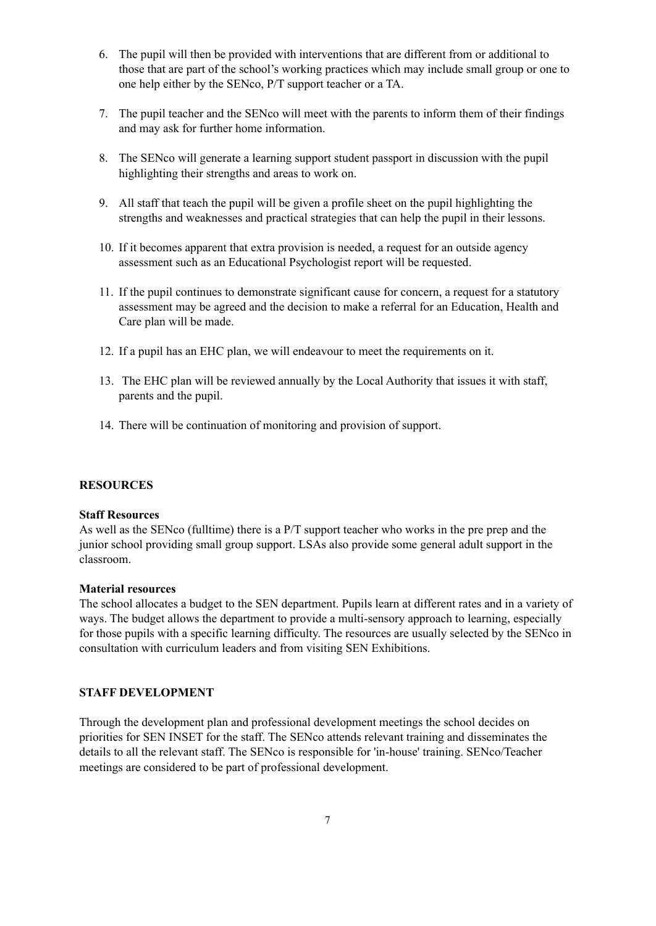- 6. The pupil will then be provided with interventions that are different from or additional to those that are part of the school's working practices which may include small group or one to one help either by the SENco, P/T support teacher or a TA.
- 7. The pupil teacher and the SENco will meet with the parents to inform them of their findings and may ask for further home information.
- 8. The SENco will generate a learning support student passport in discussion with the pupil highlighting their strengths and areas to work on.
- 9. All staff that teach the pupil will be given a profile sheet on the pupil highlighting the strengths and weaknesses and practical strategies that can help the pupil in their lessons.
- 10. If it becomes apparent that extra provision is needed, a request for an outside agency assessment such as an Educational Psychologist report will be requested.
- 11. If the pupil continues to demonstrate significant cause for concern, a request for a statutory assessment may be agreed and the decision to make a referral for an Education, Health and Care plan will be made.
- 12. If a pupil has an EHC plan, we will endeavour to meet the requirements on it.
- 13. The EHC plan will be reviewed annually by the Local Authority that issues it with staff, parents and the pupil.
- 14. There will be continuation of monitoring and provision of support.

#### **RESOURCES**

#### **Staff Resources**

As well as the SENco (fulltime) there is a P/T support teacher who works in the pre prep and the junior school providing small group support. LSAs also provide some general adult support in the classroom.

#### **Material resources**

The school allocates a budget to the SEN department. Pupils learn at different rates and in a variety of ways. The budget allows the department to provide a multi-sensory approach to learning, especially for those pupils with a specific learning difficulty. The resources are usually selected by the SENco in consultation with curriculum leaders and from visiting SEN Exhibitions.

### **STAFF DEVELOPMENT**

Through the development plan and professional development meetings the school decides on priorities for SEN INSET for the staff. The SENco attends relevant training and disseminates the details to all the relevant staff. The SENco is responsible for 'in-house' training. SENco/Teacher meetings are considered to be part of professional development.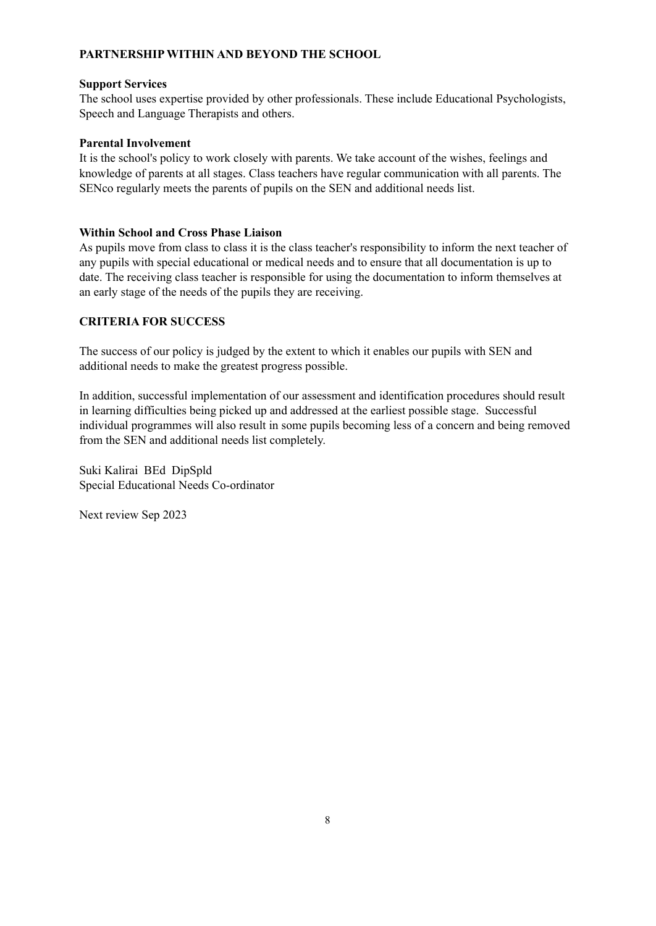# **PARTNERSHIP WITHIN AND BEYOND THE SCHOOL**

### **Support Services**

The school uses expertise provided by other professionals. These include Educational Psychologists, Speech and Language Therapists and others.

## **Parental Involvement**

It is the school's policy to work closely with parents. We take account of the wishes, feelings and knowledge of parents at all stages. Class teachers have regular communication with all parents. The SENco regularly meets the parents of pupils on the SEN and additional needs list.

## **Within School and Cross Phase Liaison**

As pupils move from class to class it is the class teacher's responsibility to inform the next teacher of any pupils with special educational or medical needs and to ensure that all documentation is up to date. The receiving class teacher is responsible for using the documentation to inform themselves at an early stage of the needs of the pupils they are receiving.

# **CRITERIA FOR SUCCESS**

The success of our policy is judged by the extent to which it enables our pupils with SEN and additional needs to make the greatest progress possible.

In addition, successful implementation of our assessment and identification procedures should result in learning difficulties being picked up and addressed at the earliest possible stage. Successful individual programmes will also result in some pupils becoming less of a concern and being removed from the SEN and additional needs list completely.

Suki Kalirai BEd DipSpld Special Educational Needs Co-ordinator

Next review Sep 2023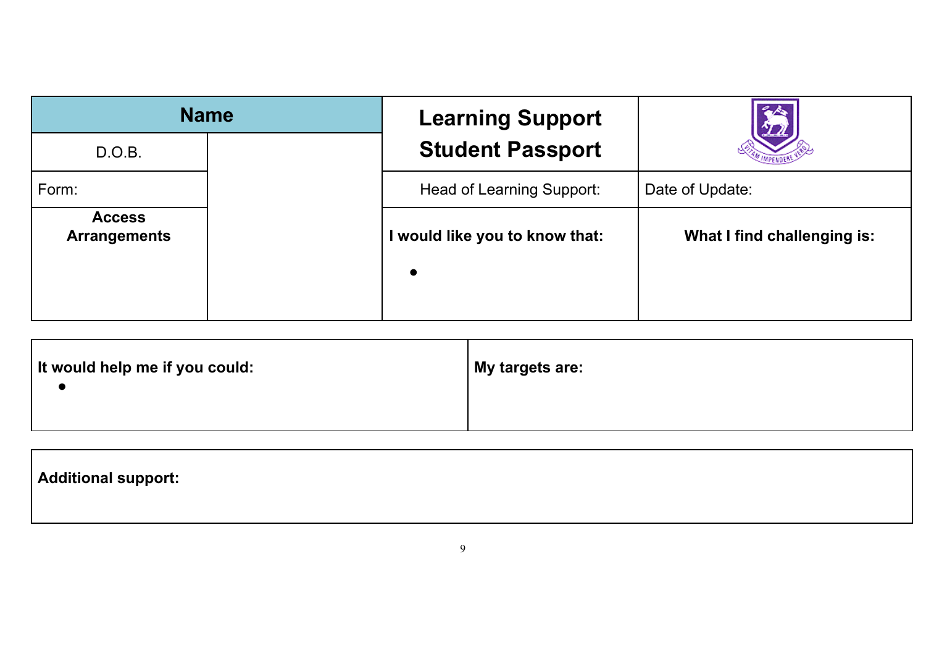|                                      | <b>Name</b> | <b>Learning Support</b>                     |                             |
|--------------------------------------|-------------|---------------------------------------------|-----------------------------|
| D.O.B.                               |             | <b>Student Passport</b>                     |                             |
| Form:                                |             | Head of Learning Support:                   | Date of Update:             |
| <b>Access</b><br><b>Arrangements</b> |             | I would like you to know that:<br>$\bullet$ | What I find challenging is: |

|  | It would help me if you could:<br>  My targets are: |  |
|--|-----------------------------------------------------|--|
|--|-----------------------------------------------------|--|

| Additional support: |  |  |  |
|---------------------|--|--|--|
|                     |  |  |  |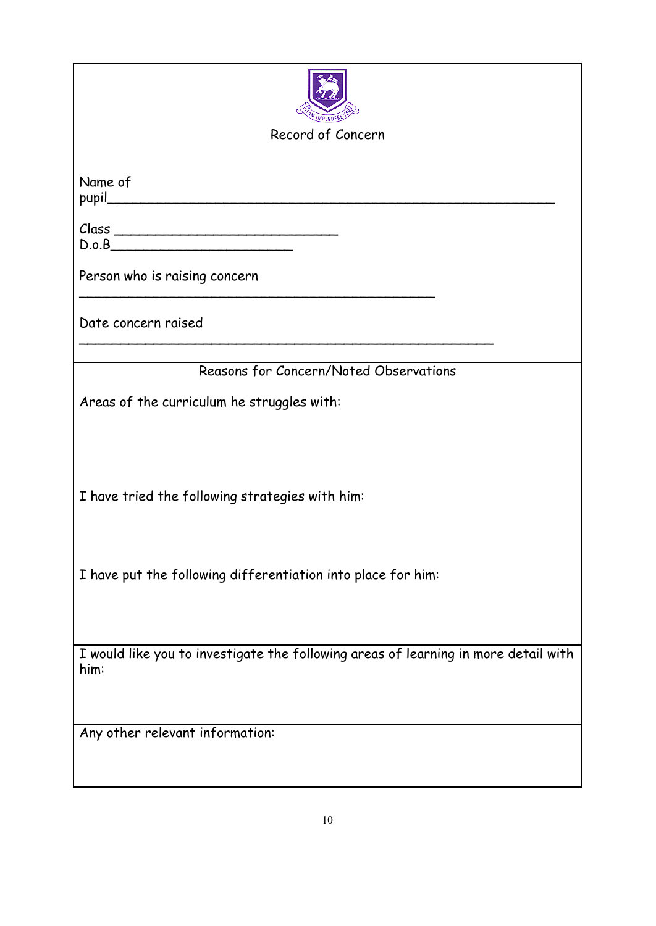| Record of Concern                                                                           |
|---------------------------------------------------------------------------------------------|
|                                                                                             |
| Name of                                                                                     |
| D.o.B                                                                                       |
| Person who is raising concern                                                               |
| Date concern raised                                                                         |
| Reasons for Concern/Noted Observations                                                      |
| Areas of the curriculum he struggles with:                                                  |
| I have tried the following strategies with him:                                             |
|                                                                                             |
| I have put the following differentiation into place for him:                                |
| I would like you to investigate the following areas of learning in more detail with<br>him: |
| Any other relevant information:                                                             |